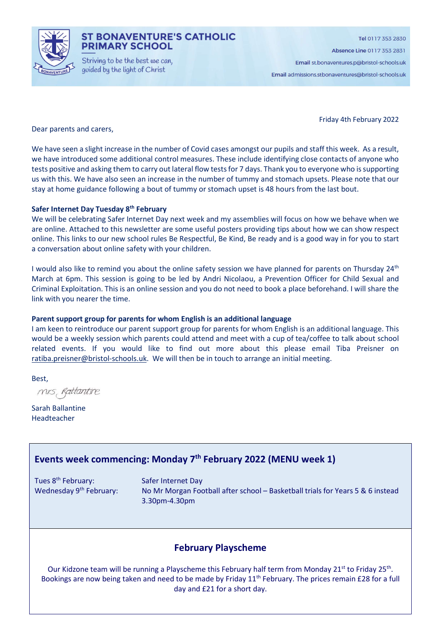

### **ST BONAVENTURE'S CATHOLIC PRIMARY SCHOOL**

Striving to be the best we can. guided by the light of Christ

Absence Line 0117 353 2831

Email st.bonaventures.p@bristol-schools.uk

Email admissions.stbonaventures@bristol-schools.uk

Friday 4th February 2022

Dear parents and carers,

We have seen a slight increase in the number of Covid cases amongst our pupils and staff this week. As a result, we have introduced some additional control measures. These include identifying close contacts of anyone who tests positive and asking them to carry out lateral flow tests for 7 days. Thank you to everyone who is supporting us with this. We have also seen an increase in the number of tummy and stomach upsets. Please note that our stay at home guidance following a bout of tummy or stomach upset is 48 hours from the last bout.

#### Safer Internet Day Tuesday 8<sup>th</sup> February

We will be celebrating Safer Internet Day next week and my assemblies will focus on how we behave when we are online. Attached to this newsletter are some useful posters providing tips about how we can show respect online. This links to our new school rules Be Respectful, Be Kind, Be ready and is a good way in for you to start a conversation about online safety with your children.

I would also like to remind you about the online safety session we have planned for parents on Thursday 24<sup>th</sup> March at 6pm. This session is going to be led by Andri Nicolaou, a Prevention Officer for Child Sexual and Criminal Exploitation. This is an online session and you do not need to book a place beforehand. I will share the link with you nearer the time.

#### Parent support group for parents for whom English is an additional language

I am keen to reintroduce our parent support group for parents for whom English is an additional language. This would be a weekly session which parents could attend and meet with a cup of tea/coffee to talk about school related events. If you would like to find out more about this please email Tiba Preisner on ratiba.preisner@bristol-schools.uk. We will then be in touch to arrange an initial meeting.

Best,

mis, Rattantire

Sarah Ballantine Headteacher

## Events week commencing: Monday 7th February 2022 (MENU week 1)

Tues 8<sup>th</sup> February: Safer Internet Day

Wednesday 9<sup>th</sup> February: No Mr Morgan Football after school – Basketball trials for Years 5 & 6 instead 3.30pm-4.30pm

### February Playscheme

Our Kidzone team will be running a Playscheme this February half term from Monday 21<sup>st</sup> to Friday 25<sup>th</sup>. Bookings are now being taken and need to be made by Friday 11<sup>th</sup> February. The prices remain £28 for a full day and £21 for a short day.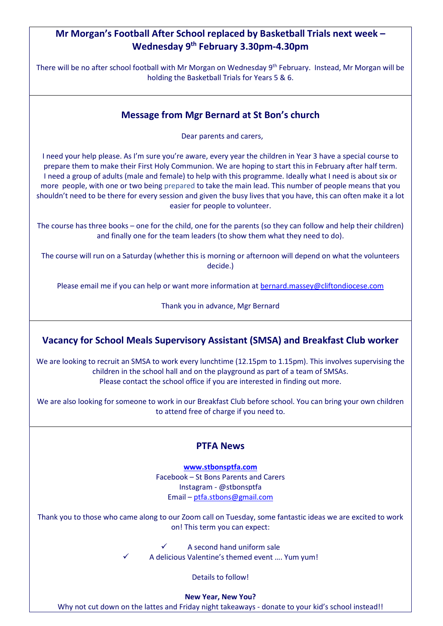# Mr Morgan's Football After School replaced by Basketball Trials next week – Wednesday 9th February 3.30pm-4.30pm

There will be no after school football with Mr Morgan on Wednesday 9th February. Instead, Mr Morgan will be holding the Basketball Trials for Years 5 & 6.

## Message from Mgr Bernard at St Bon's church

Dear parents and carers,

I need your help please. As I'm sure you're aware, every year the children in Year 3 have a special course to prepare them to make their First Holy Communion. We are hoping to start this in February after half term. I need a group of adults (male and female) to help with this programme. Ideally what I need is about six or more people, with one or two being prepared to take the main lead. This number of people means that you shouldn't need to be there for every session and given the busy lives that you have, this can often make it a lot easier for people to volunteer.

The course has three books – one for the child, one for the parents (so they can follow and help their children) and finally one for the team leaders (to show them what they need to do).

The course will run on a Saturday (whether this is morning or afternoon will depend on what the volunteers decide.)

Please email me if you can help or want more information at bernard.massey@cliftondiocese.com

Thank you in advance, Mgr Bernard

# Vacancy for School Meals Supervisory Assistant (SMSA) and Breakfast Club worker

We are looking to recruit an SMSA to work every lunchtime (12.15pm to 1.15pm). This involves supervising the children in the school hall and on the playground as part of a team of SMSAs. Please contact the school office if you are interested in finding out more.

We are also looking for someone to work in our Breakfast Club before school. You can bring your own children to attend free of charge if you need to.

### PTFA News

www.stbonsptfa.com Facebook – St Bons Parents and Carers Instagram - @stbonsptfa Email – ptfa.stbons@gmail.com

Thank you to those who came along to our Zoom call on Tuesday, some fantastic ideas we are excited to work on! This term you can expect:

 A second hand uniform sale A delicious Valentine's themed event …. Yum yum!

Details to follow!

New Year, New You?

Why not cut down on the lattes and Friday night takeaways - donate to your kid's school instead!!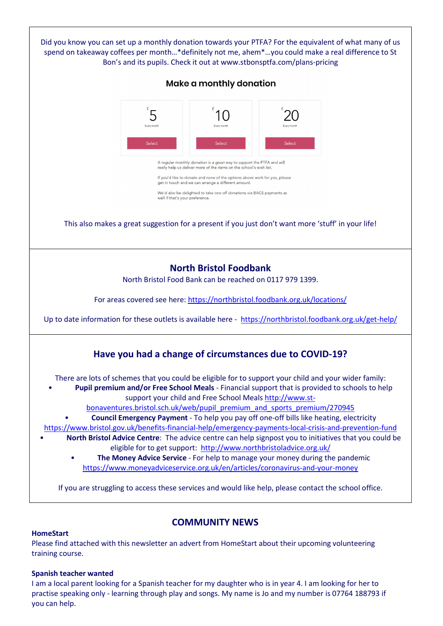

### COMMUNITY NEWS

### **HomeStart**

Please find attached with this newsletter an advert from HomeStart about their upcoming volunteering training course.

### Spanish teacher wanted

I am a local parent looking for a Spanish teacher for my daughter who is in year 4. I am looking for her to practise speaking only - learning through play and songs. My name is Jo and my number is 07764 188793 if you can help.